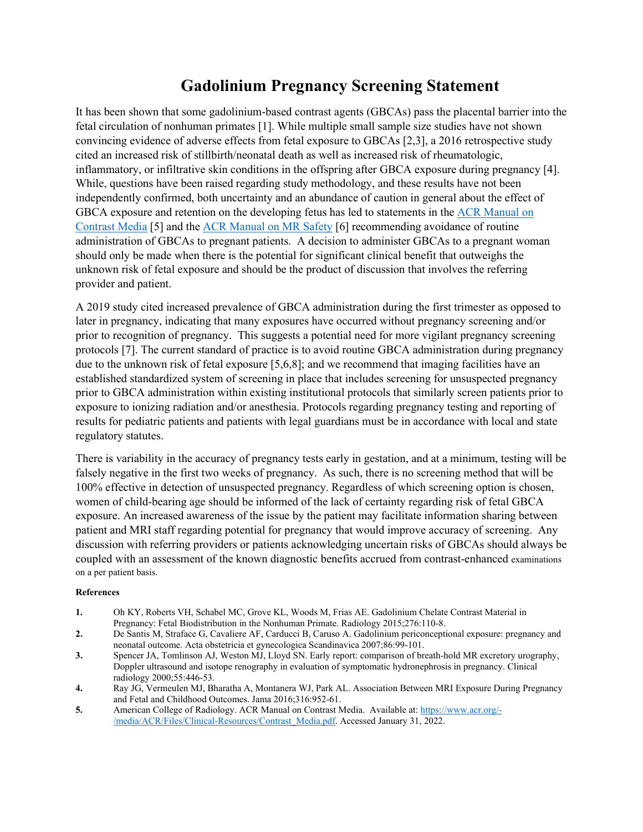## **Gadolinium Pregnancy Screening Statement**

It has been shown that some gadolinium-based contrast agents (GBCAs) pass the placental barrier into the fetal circulation of nonhuman primates [1]. While multiple small sample size studies have not shown convincing evidence of adverse effects from fetal exposure to GBCAs [2,3], a 2016 retrospective study cited an increased risk of stillbirth/neonatal death as well as increased risk of rheumatologic, inflammatory, or infiltrative skin conditions in the offspring after GBCA exposure during pregnancy [4]. While, questions have been raised regarding study methodology, and these results have not been independently confirmed, both uncertainty and an abundance of caution in general about the effect of GBCA exposure and retention on the developing fetus has led to statements in the [ACR Manual on](https://www.acr.org/-/media/ACR/Files/Clinical-Resources/Contrast_Media.pdf)  [Contrast Media](https://www.acr.org/-/media/ACR/Files/Clinical-Resources/Contrast_Media.pdf) [5] and the [ACR Manual on MR Safety](https://www.acr.org/-/media/ACR/Files/Radiology-Safety/MR-Safety/Manual-on-MR-Safety.pdf) [6] recommending avoidance of routine administration of GBCAs to pregnant patients. A decision to administer GBCAs to a pregnant woman should only be made when there is the potential for significant clinical benefit that outweighs the unknown risk of fetal exposure and should be the product of discussion that involves the referring provider and patient.

A 2019 study cited increased prevalence of GBCA administration during the first trimester as opposed to later in pregnancy, indicating that many exposures have occurred without pregnancy screening and/or prior to recognition of pregnancy. This suggests a potential need for more vigilant pregnancy screening protocols [7]. The current standard of practice is to avoid routine GBCA administration during pregnancy due to the unknown risk of fetal exposure [5,6,8]; and we recommend that imaging facilities have an established standardized system of screening in place that includes screening for unsuspected pregnancy prior to GBCA administration within existing institutional protocols that similarly screen patients prior to exposure to ionizing radiation and/or anesthesia. Protocols regarding pregnancy testing and reporting of results for pediatric patients and patients with legal guardians must be in accordance with local and state regulatory statutes.

There is variability in the accuracy of pregnancy tests early in gestation, and at a minimum, testing will be falsely negative in the first two weeks of pregnancy. As such, there is no screening method that will be 100% effective in detection of unsuspected pregnancy. Regardless of which screening option is chosen, women of child-bearing age should be informed of the lack of certainty regarding risk of fetal GBCA exposure. An increased awareness of the issue by the patient may facilitate information sharing between patient and MRI staff regarding potential for pregnancy that would improve accuracy of screening. Any discussion with referring providers or patients acknowledging uncertain risks of GBCAs should always be coupled with an assessment of the known diagnostic benefits accrued from contrast-enhanced examinations on a per patient basis.

## **References**

- **1.** Oh KY, Roberts VH, Schabel MC, Grove KL, Woods M, Frias AE. Gadolinium Chelate Contrast Material in Pregnancy: Fetal Biodistribution in the Nonhuman Primate. Radiology 2015;276:110-8.
- **2.** De Santis M, Straface G, Cavaliere AF, Carducci B, Caruso A. Gadolinium periconceptional exposure: pregnancy and neonatal outcome. Acta obstetricia et gynecologica Scandinavica 2007;86:99-101.
- **3.** Spencer JA, Tomlinson AJ, Weston MJ, Lloyd SN. Early report: comparison of breath-hold MR excretory urography, Doppler ultrasound and isotope renography in evaluation of symptomatic hydronephrosis in pregnancy. Clinical radiology 2000;55:446-53.
- **4.** Ray JG, Vermeulen MJ, Bharatha A, Montanera WJ, Park AL. Association Between MRI Exposure During Pregnancy and Fetal and Childhood Outcomes. Jama 2016;316:952-61.
- **5.** American College of Radiology. ACR Manual on Contrast Media. Available at[: https://www.acr.org/-](https://www.acr.org/-/media/ACR/Files/Clinical-Resources/Contrast_Media.pdf) [/media/ACR/Files/Clinical-Resources/Contrast\\_Media.pdf.](https://www.acr.org/-/media/ACR/Files/Clinical-Resources/Contrast_Media.pdf) Accessed January 31, 2022.